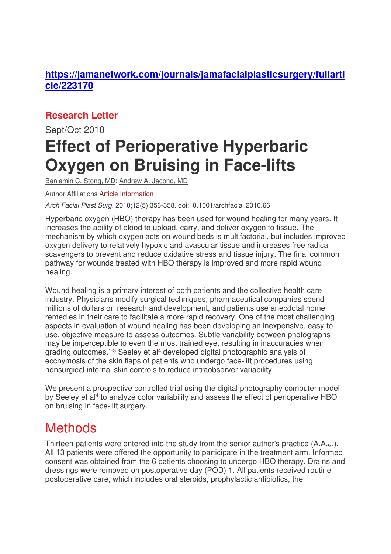### **https://jamanetwork.com/journals/jamafacialplasticsurgery/fullarti cle/223170**

### **Research Letter**

# Sept/Oct 2010 **Effect of Perioperative Hyperbaric Oxygen on Bruising in Face-lifts**

Benjamin C. Stong, MD; Andrew A. Jacono, MD

Author Affiliations Article Information

Arch Facial Plast Surg. 2010;12(5):356-358. doi:10.1001/archfacial.2010.66

Hyperbaric oxygen (HBO) therapy has been used for wound healing for many years. It increases the ability of blood to upload, carry, and deliver oxygen to tissue. The mechanism by which oxygen acts on wound beds is multifactorial, but includes improved oxygen delivery to relatively hypoxic and avascular tissue and increases free radical scavengers to prevent and reduce oxidative stress and tissue injury. The final common pathway for wounds treated with HBO therapy is improved and more rapid wound healing.

Wound healing is a primary interest of both patients and the collective health care industry. Physicians modify surgical techniques, pharmaceutical companies spend millions of dollars on research and development, and patients use anecdotal home remedies in their care to facilitate a more rapid recovery. One of the most challenging aspects in evaluation of wound healing has been developing an inexpensive, easy-touse, objective measure to assess outcomes. Subtle variability between photographs may be imperceptible to even the most trained eye, resulting in inaccuracies when grading outcomes.<sup>1-3</sup> Seeley et al<sup>4</sup> developed digital photographic analysis of ecchymosis of the skin flaps of patients who undergo face-lift procedures using nonsurgical internal skin controls to reduce intraobserver variability.

We present a prospective controlled trial using the digital photography computer model by Seeley et al<sup>4</sup> to analyze color variability and assess the effect of perioperative HBO on bruising in face-lift surgery.

## **Methods**

Thirteen patients were entered into the study from the senior author's practice (A.A.J.). All 13 patients were offered the opportunity to participate in the treatment arm. Informed consent was obtained from the 6 patients choosing to undergo HBO therapy. Drains and dressings were removed on postoperative day (POD) 1. All patients received routine postoperative care, which includes oral steroids, prophylactic antibiotics, the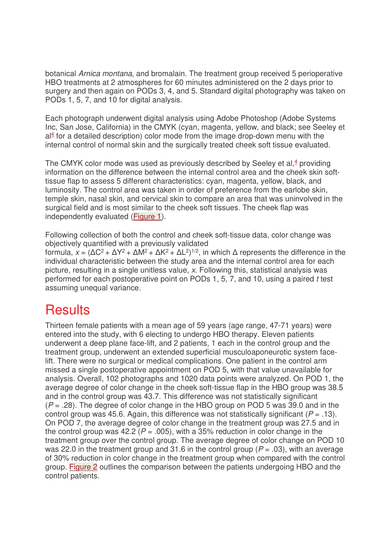botanical Arnica montana, and bromalain. The treatment group received 5 perioperative HBO treatments at 2 atmospheres for 60 minutes administered on the 2 days prior to surgery and then again on PODs 3, 4, and 5. Standard digital photography was taken on PODs 1, 5, 7, and 10 for digital analysis.

Each photograph underwent digital analysis using Adobe Photoshop (Adobe Systems Inc, San Jose, California) in the CMYK (cyan, magenta, yellow, and black; see Seeley et  $al<sup>4</sup>$  for a detailed description) color mode from the image drop-down menu with the internal control of normal skin and the surgically treated cheek soft tissue evaluated.

The CMYK color mode was used as previously described by Seeley et al, $4$  providing information on the difference between the internal control area and the cheek skin softtissue flap to assess 5 different characteristics: cyan, magenta, yellow, black, and luminosity. The control area was taken in order of preference from the earlobe skin, temple skin, nasal skin, and cervical skin to compare an area that was uninvolved in the surgical field and is most similar to the cheek soft tissues. The cheek flap was independently evaluated (Figure 1).

Following collection of both the control and cheek soft-tissue data, color change was objectively quantified with a previously validated formula,  $x = (\Delta C^2 + \Delta Y^2 + \Delta M^2 + \Delta K^2 + \Delta L^2)^{1/2}$ , in which  $\Delta$  represents the difference in the individual characteristic between the study area and the internal control area for each

picture, resulting in a single unitless value, x. Following this, statistical analysis was performed for each postoperative point on PODs 1, 5, 7, and 10, using a paired t test assuming unequal variance.

### **Results**

Thirteen female patients with a mean age of 59 years (age range, 47-71 years) were entered into the study, with 6 electing to undergo HBO therapy. Eleven patients underwent a deep plane face-lift, and 2 patients, 1 each in the control group and the treatment group, underwent an extended superficial musculoaponeurotic system facelift. There were no surgical or medical complications. One patient in the control arm missed a single postoperative appointment on POD 5, with that value unavailable for analysis. Overall, 102 photographs and 1020 data points were analyzed. On POD 1, the average degree of color change in the cheek soft-tissue flap in the HBO group was 38.5 and in the control group was 43.7. This difference was not statistically significant  $(P = .28)$ . The degree of color change in the HBO group on POD 5 was 39.0 and in the control group was 45.6. Again, this difference was not statistically significant ( $P = .13$ ). On POD 7, the average degree of color change in the treatment group was 27.5 and in the control group was 42.2 ( $P = 0.005$ ), with a 35% reduction in color change in the treatment group over the control group. The average degree of color change on POD 10 was 22.0 in the treatment group and 31.6 in the control group ( $P = .03$ ), with an average of 30% reduction in color change in the treatment group when compared with the control group. Figure 2 outlines the comparison between the patients undergoing HBO and the control patients.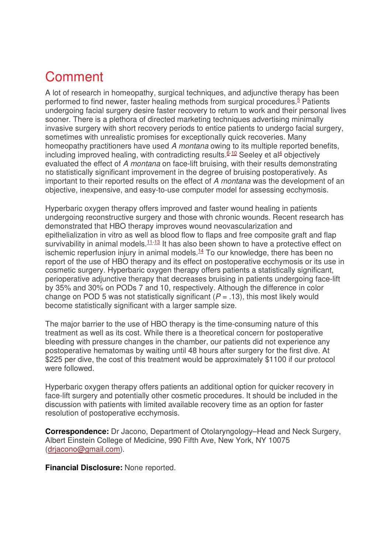## Comment

A lot of research in homeopathy, surgical techniques, and adjunctive therapy has been performed to find newer, faster healing methods from surgical procedures.<sup>5</sup> Patients undergoing facial surgery desire faster recovery to return to work and their personal lives sooner. There is a plethora of directed marketing techniques advertising minimally invasive surgery with short recovery periods to entice patients to undergo facial surgery, sometimes with unrealistic promises for exceptionally quick recoveries. Many homeopathy practitioners have used A montana owing to its multiple reported benefits, including improved healing, with contradicting results.<sup>6-10</sup> Seeley et al<sup>4</sup> objectively evaluated the effect of A montana on face-lift bruising, with their results demonstrating no statistically significant improvement in the degree of bruising postoperatively. As important to their reported results on the effect of A montana was the development of an objective, inexpensive, and easy-to-use computer model for assessing ecchymosis.

Hyperbaric oxygen therapy offers improved and faster wound healing in patients undergoing reconstructive surgery and those with chronic wounds. Recent research has demonstrated that HBO therapy improves wound neovascularization and epithelialization in vitro as well as blood flow to flaps and free composite graft and flap survivability in animal models. $11-13$  It has also been shown to have a protective effect on ischemic reperfusion injury in animal models. $14$  To our knowledge, there has been no report of the use of HBO therapy and its effect on postoperative ecchymosis or its use in cosmetic surgery. Hyperbaric oxygen therapy offers patients a statistically significant, perioperative adjunctive therapy that decreases bruising in patients undergoing face-lift by 35% and 30% on PODs 7 and 10, respectively. Although the difference in color change on POD 5 was not statistically significant ( $P = .13$ ), this most likely would become statistically significant with a larger sample size.

The major barrier to the use of HBO therapy is the time-consuming nature of this treatment as well as its cost. While there is a theoretical concern for postoperative bleeding with pressure changes in the chamber, our patients did not experience any postoperative hematomas by waiting until 48 hours after surgery for the first dive. At \$225 per dive, the cost of this treatment would be approximately \$1100 if our protocol were followed.

Hyperbaric oxygen therapy offers patients an additional option for quicker recovery in face-lift surgery and potentially other cosmetic procedures. It should be included in the discussion with patients with limited available recovery time as an option for faster resolution of postoperative ecchymosis.

**Correspondence:** Dr Jacono, Department of Otolaryngology–Head and Neck Surgery, Albert Einstein College of Medicine, 990 Fifth Ave, New York, NY 10075 (drjacono@gmail.com).

**Financial Disclosure:** None reported.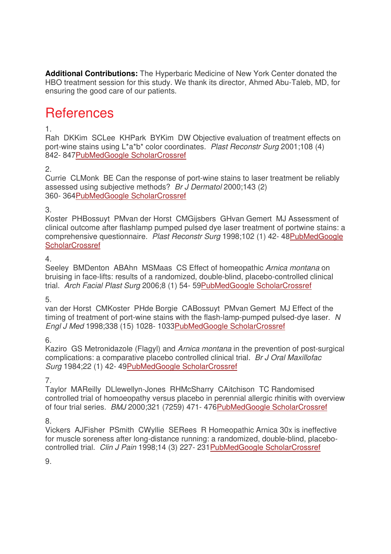**Additional Contributions:** The Hyperbaric Medicine of New York Center donated the HBO treatment session for this study. We thank its director, Ahmed Abu-Taleb, MD, for ensuring the good care of our patients.

## **References**

#### 1.

Rah DKKim SCLee KHPark BYKim DW Objective evaluation of treatment effects on port-wine stains using L\*a\*b\* color coordinates. Plast Reconstr Surg 2001;108 (4) 842- 847PubMedGoogle ScholarCrossref

2.

Currie CLMonk BE Can the response of port-wine stains to laser treatment be reliably assessed using subjective methods? Br J Dermatol 2000;143 (2) 360- 364PubMedGoogle ScholarCrossref

#### 3.

Koster PHBossuyt PMvan der Horst CMGijsbers GHvan Gemert MJ Assessment of clinical outcome after flashlamp pumped pulsed dye laser treatment of portwine stains: a comprehensive questionnaire. Plast Reconstr Surg 1998;102 (1) 42- 48PubMedGoogle **ScholarCrossref** 

#### 4.

Seeley BMDenton ABAhn MSMaas CS Effect of homeopathic Arnica montana on bruising in face-lifts: results of a randomized, double-blind, placebo-controlled clinical trial. Arch Facial Plast Surg 2006;8 (1) 54- 59PubMedGoogle ScholarCrossref

#### 5.

van der Horst CMKoster PHde Borgie CABossuyt PMvan Gemert MJ Effect of the timing of treatment of port-wine stains with the flash-lamp-pumped pulsed-dye laser. N Engl J Med 1998;338 (15) 1028- 1033PubMedGoogle ScholarCrossref

#### 6.

Kaziro GS Metronidazole (Flagyl) and Arnica montana in the prevention of post-surgical complications: a comparative placebo controlled clinical trial. Br J Oral Maxillofac Surg 1984;22 (1) 42- 49PubMedGoogle ScholarCrossref

#### 7.

Taylor MAReilly DLlewellyn-Jones RHMcSharry CAitchison TC Randomised controlled trial of homoeopathy versus placebo in perennial allergic rhinitis with overview of four trial series. BMJ 2000;321 (7259) 471- 476PubMedGoogle ScholarCrossref

8.

Vickers AJFisher PSmith CWyllie SERees R Homeopathic Arnica 30x is ineffective for muscle soreness after long-distance running: a randomized, double-blind, placebocontrolled trial. Clin J Pain 1998;14 (3) 227- 231PubMedGoogle ScholarCrossref

9.